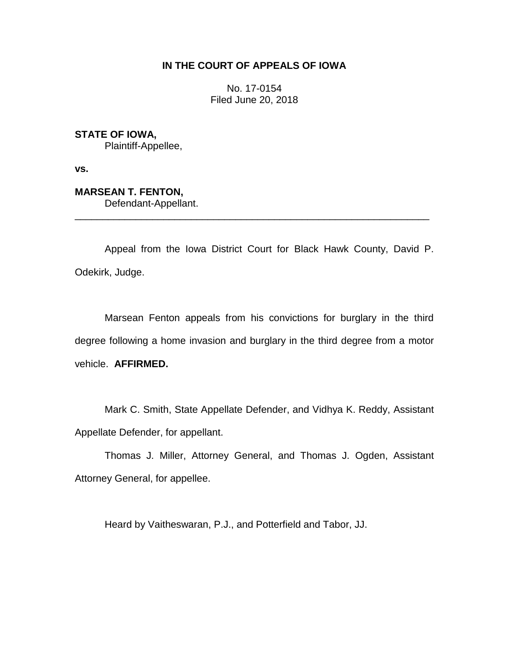# **IN THE COURT OF APPEALS OF IOWA**

No. 17-0154 Filed June 20, 2018

**STATE OF IOWA,** Plaintiff-Appellee,

**vs.**

**MARSEAN T. FENTON,** Defendant-Appellant.

Appeal from the Iowa District Court for Black Hawk County, David P. Odekirk, Judge.

\_\_\_\_\_\_\_\_\_\_\_\_\_\_\_\_\_\_\_\_\_\_\_\_\_\_\_\_\_\_\_\_\_\_\_\_\_\_\_\_\_\_\_\_\_\_\_\_\_\_\_\_\_\_\_\_\_\_\_\_\_\_\_\_

Marsean Fenton appeals from his convictions for burglary in the third degree following a home invasion and burglary in the third degree from a motor vehicle. **AFFIRMED.**

Mark C. Smith, State Appellate Defender, and Vidhya K. Reddy, Assistant Appellate Defender, for appellant.

Thomas J. Miller, Attorney General, and Thomas J. Ogden, Assistant Attorney General, for appellee.

Heard by Vaitheswaran, P.J., and Potterfield and Tabor, JJ.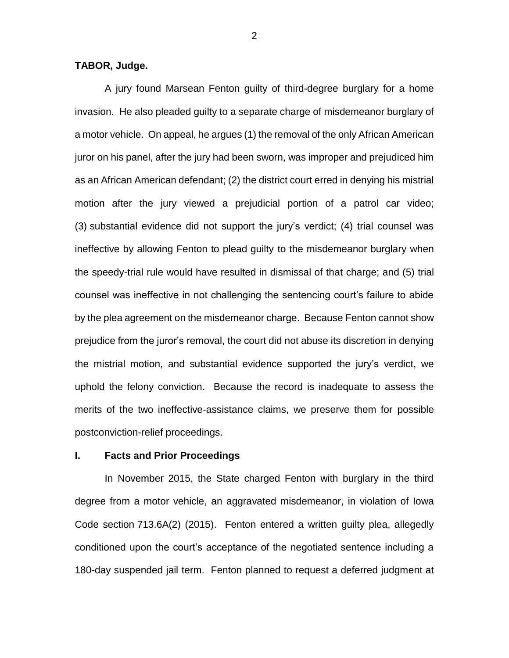## **TABOR, Judge.**

A jury found Marsean Fenton guilty of third-degree burglary for a home invasion. He also pleaded guilty to a separate charge of misdemeanor burglary of a motor vehicle. On appeal, he argues (1) the removal of the only African American juror on his panel, after the jury had been sworn, was improper and prejudiced him as an African American defendant; (2) the district court erred in denying his mistrial motion after the jury viewed a prejudicial portion of a patrol car video; (3) substantial evidence did not support the jury's verdict; (4) trial counsel was ineffective by allowing Fenton to plead guilty to the misdemeanor burglary when the speedy-trial rule would have resulted in dismissal of that charge; and (5) trial counsel was ineffective in not challenging the sentencing court's failure to abide by the plea agreement on the misdemeanor charge. Because Fenton cannot show prejudice from the juror's removal, the court did not abuse its discretion in denying the mistrial motion, and substantial evidence supported the jury's verdict, we uphold the felony conviction. Because the record is inadequate to assess the merits of the two ineffective-assistance claims, we preserve them for possible postconviction-relief proceedings.

## **I. Facts and Prior Proceedings**

In November 2015, the State charged Fenton with burglary in the third degree from a motor vehicle, an aggravated misdemeanor, in violation of Iowa Code section 713.6A(2) (2015). Fenton entered a written guilty plea, allegedly conditioned upon the court's acceptance of the negotiated sentence including a 180-day suspended jail term. Fenton planned to request a deferred judgment at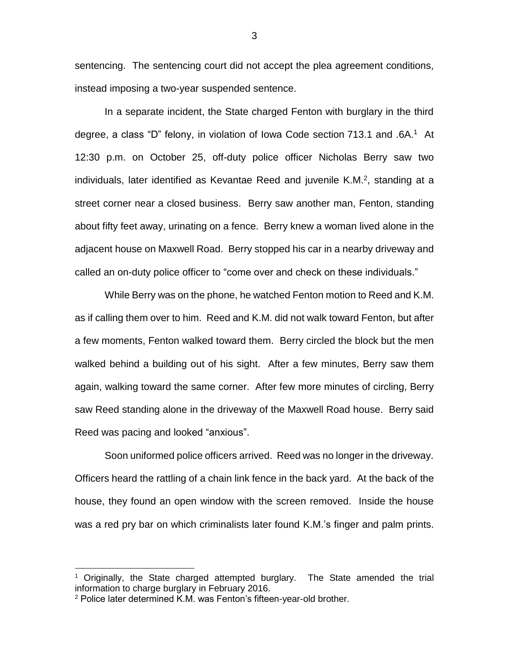sentencing. The sentencing court did not accept the plea agreement conditions, instead imposing a two-year suspended sentence.

In a separate incident, the State charged Fenton with burglary in the third degree, a class "D" felony, in violation of Iowa Code section 713.1 and .6A.<sup>1</sup> At 12:30 p.m. on October 25, off-duty police officer Nicholas Berry saw two individuals, later identified as Kevantae Reed and juvenile K.M. $2$ , standing at a street corner near a closed business. Berry saw another man, Fenton, standing about fifty feet away, urinating on a fence. Berry knew a woman lived alone in the adjacent house on Maxwell Road. Berry stopped his car in a nearby driveway and called an on-duty police officer to "come over and check on these individuals."

While Berry was on the phone, he watched Fenton motion to Reed and K.M. as if calling them over to him. Reed and K.M. did not walk toward Fenton, but after a few moments, Fenton walked toward them. Berry circled the block but the men walked behind a building out of his sight. After a few minutes, Berry saw them again, walking toward the same corner. After few more minutes of circling, Berry saw Reed standing alone in the driveway of the Maxwell Road house. Berry said Reed was pacing and looked "anxious".

Soon uniformed police officers arrived. Reed was no longer in the driveway. Officers heard the rattling of a chain link fence in the back yard. At the back of the house, they found an open window with the screen removed. Inside the house was a red pry bar on which criminalists later found K.M.'s finger and palm prints.

 $\overline{a}$ 

<sup>1</sup> Originally, the State charged attempted burglary. The State amended the trial information to charge burglary in February 2016.

 $2$  Police later determined K.M. was Fenton's fifteen-year-old brother.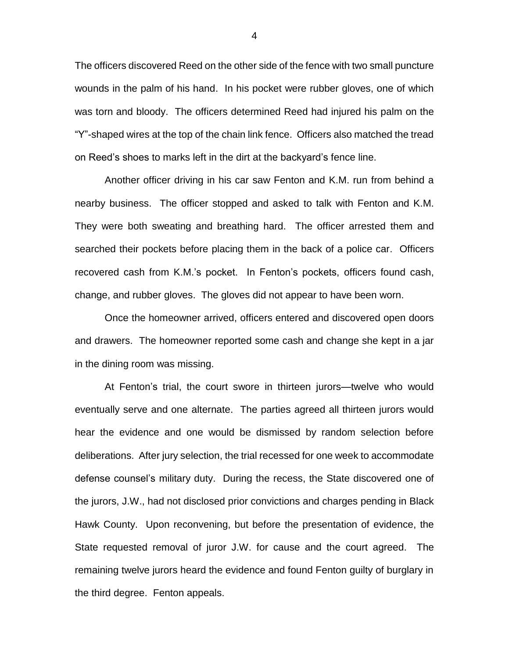The officers discovered Reed on the other side of the fence with two small puncture wounds in the palm of his hand. In his pocket were rubber gloves, one of which was torn and bloody. The officers determined Reed had injured his palm on the "Y"-shaped wires at the top of the chain link fence. Officers also matched the tread on Reed's shoes to marks left in the dirt at the backyard's fence line.

Another officer driving in his car saw Fenton and K.M. run from behind a nearby business. The officer stopped and asked to talk with Fenton and K.M. They were both sweating and breathing hard. The officer arrested them and searched their pockets before placing them in the back of a police car. Officers recovered cash from K.M.'s pocket. In Fenton's pockets, officers found cash, change, and rubber gloves. The gloves did not appear to have been worn.

Once the homeowner arrived, officers entered and discovered open doors and drawers. The homeowner reported some cash and change she kept in a jar in the dining room was missing.

At Fenton's trial, the court swore in thirteen jurors—twelve who would eventually serve and one alternate. The parties agreed all thirteen jurors would hear the evidence and one would be dismissed by random selection before deliberations. After jury selection, the trial recessed for one week to accommodate defense counsel's military duty. During the recess, the State discovered one of the jurors, J.W., had not disclosed prior convictions and charges pending in Black Hawk County. Upon reconvening, but before the presentation of evidence, the State requested removal of juror J.W. for cause and the court agreed. The remaining twelve jurors heard the evidence and found Fenton guilty of burglary in the third degree. Fenton appeals.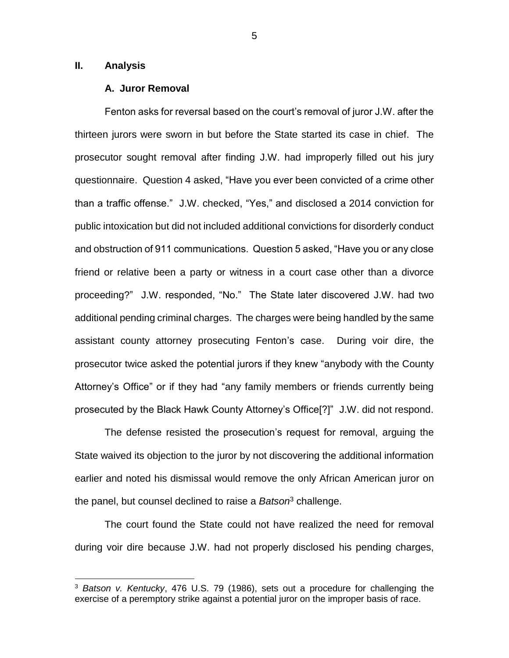## **II. Analysis**

 $\overline{a}$ 

#### **A. Juror Removal**

Fenton asks for reversal based on the court's removal of juror J.W. after the thirteen jurors were sworn in but before the State started its case in chief. The prosecutor sought removal after finding J.W. had improperly filled out his jury questionnaire. Question 4 asked, "Have you ever been convicted of a crime other than a traffic offense." J.W. checked, "Yes," and disclosed a 2014 conviction for public intoxication but did not included additional convictions for disorderly conduct and obstruction of 911 communications. Question 5 asked, "Have you or any close friend or relative been a party or witness in a court case other than a divorce proceeding?" J.W. responded, "No." The State later discovered J.W. had two additional pending criminal charges. The charges were being handled by the same assistant county attorney prosecuting Fenton's case. During voir dire, the prosecutor twice asked the potential jurors if they knew "anybody with the County Attorney's Office" or if they had "any family members or friends currently being prosecuted by the Black Hawk County Attorney's Office[?]" J.W. did not respond.

The defense resisted the prosecution's request for removal, arguing the State waived its objection to the juror by not discovering the additional information earlier and noted his dismissal would remove the only African American juror on the panel, but counsel declined to raise a *Batson*<sup>3</sup> challenge.

The court found the State could not have realized the need for removal during voir dire because J.W. had not properly disclosed his pending charges,

<sup>3</sup> *Batson v. Kentucky*, 476 U.S. 79 (1986), sets out a procedure for challenging the exercise of a peremptory strike against a potential juror on the improper basis of race.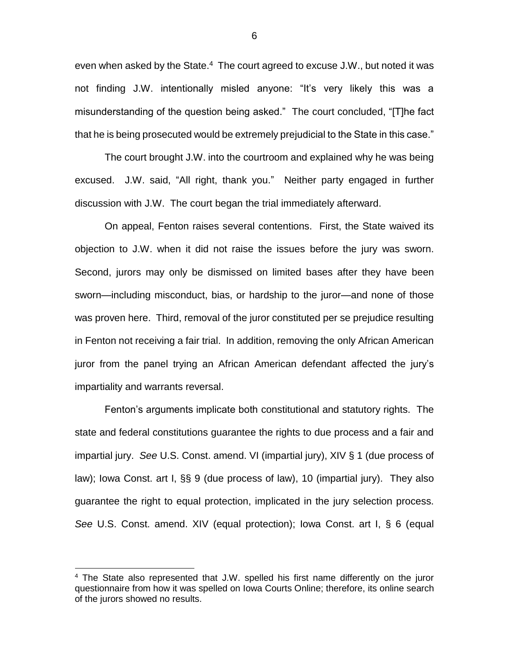even when asked by the State.<sup>4</sup> The court agreed to excuse J.W., but noted it was not finding J.W. intentionally misled anyone: "It's very likely this was a misunderstanding of the question being asked." The court concluded, "[T]he fact that he is being prosecuted would be extremely prejudicial to the State in this case."

The court brought J.W. into the courtroom and explained why he was being excused. J.W. said, "All right, thank you." Neither party engaged in further discussion with J.W. The court began the trial immediately afterward.

On appeal, Fenton raises several contentions. First, the State waived its objection to J.W. when it did not raise the issues before the jury was sworn. Second, jurors may only be dismissed on limited bases after they have been sworn—including misconduct, bias, or hardship to the juror—and none of those was proven here. Third, removal of the juror constituted per se prejudice resulting in Fenton not receiving a fair trial. In addition, removing the only African American juror from the panel trying an African American defendant affected the jury's impartiality and warrants reversal.

Fenton's arguments implicate both constitutional and statutory rights. The state and federal constitutions guarantee the rights to due process and a fair and impartial jury. *See* U.S. Const. amend. VI (impartial jury), XIV § 1 (due process of law); Iowa Const. art I, §§ 9 (due process of law), 10 (impartial jury). They also guarantee the right to equal protection, implicated in the jury selection process. *See* U.S. Const. amend. XIV (equal protection); Iowa Const. art I, § 6 (equal

 $\overline{a}$ 

<sup>&</sup>lt;sup>4</sup> The State also represented that J.W. spelled his first name differently on the juror questionnaire from how it was spelled on Iowa Courts Online; therefore, its online search of the jurors showed no results.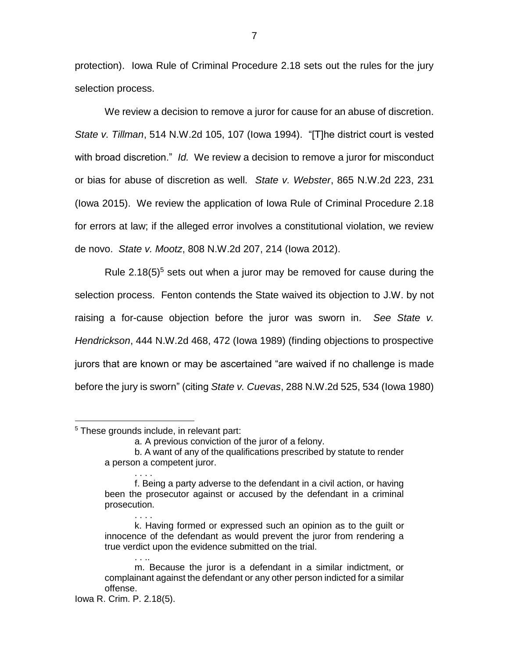protection). Iowa Rule of Criminal Procedure 2.18 sets out the rules for the jury selection process.

We review a decision to remove a juror for cause for an abuse of discretion. *State v. Tillman*, 514 N.W.2d 105, 107 (Iowa 1994). "[T]he district court is vested with broad discretion." *Id.* We review a decision to remove a juror for misconduct or bias for abuse of discretion as well. *State v. Webster*, 865 N.W.2d 223, 231 (Iowa 2015). We review the application of Iowa Rule of Criminal Procedure 2.18 for errors at law; if the alleged error involves a constitutional violation, we review de novo. *State v. Mootz*, 808 N.W.2d 207, 214 (Iowa 2012).

Rule  $2.18(5)^5$  sets out when a juror may be removed for cause during the selection process. Fenton contends the State waived its objection to J.W. by not raising a for-cause objection before the juror was sworn in. *See State v. Hendrickson*, 444 N.W.2d 468, 472 (Iowa 1989) (finding objections to prospective jurors that are known or may be ascertained "are waived if no challenge is made before the jury is sworn" (citing *State v. Cuevas*, 288 N.W.2d 525, 534 (Iowa 1980)

. . . .

. . ..

 $\overline{a}$ 

b. A want of any of the qualifications prescribed by statute to render a person a competent juror.

<sup>&</sup>lt;sup>5</sup> These grounds include, in relevant part:

a. A previous conviction of the juror of a felony.

f. Being a party adverse to the defendant in a civil action, or having been the prosecutor against or accused by the defendant in a criminal prosecution. . . . .

k. Having formed or expressed such an opinion as to the guilt or innocence of the defendant as would prevent the juror from rendering a true verdict upon the evidence submitted on the trial.

m. Because the juror is a defendant in a similar indictment, or complainant against the defendant or any other person indicted for a similar offense.

Iowa R. Crim. P. 2.18(5).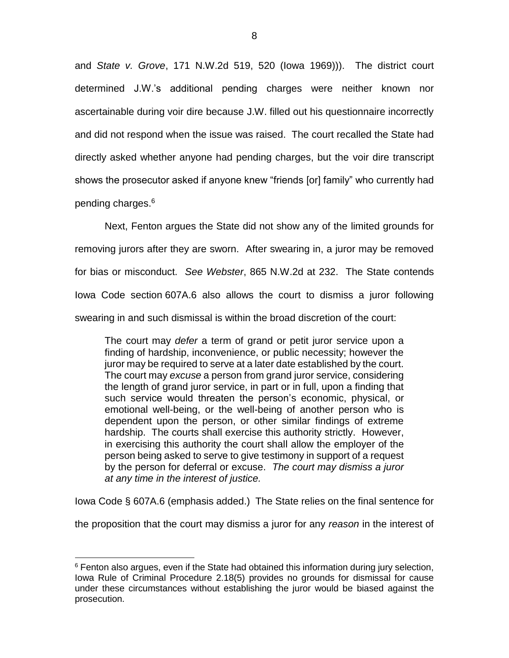and *State v. Grove*, 171 N.W.2d 519, 520 (Iowa 1969))). The district court determined J.W.'s additional pending charges were neither known nor ascertainable during voir dire because J.W. filled out his questionnaire incorrectly and did not respond when the issue was raised. The court recalled the State had directly asked whether anyone had pending charges, but the voir dire transcript shows the prosecutor asked if anyone knew "friends [or] family" who currently had pending charges.<sup>6</sup>

Next, Fenton argues the State did not show any of the limited grounds for removing jurors after they are sworn. After swearing in, a juror may be removed for bias or misconduct. *See Webster*, 865 N.W.2d at 232. The State contends Iowa Code section 607A.6 also allows the court to dismiss a juror following swearing in and such dismissal is within the broad discretion of the court:

The court may *defer* a term of grand or petit juror service upon a finding of hardship, inconvenience, or public necessity; however the juror may be required to serve at a later date established by the court. The court may *excuse* a person from grand juror service, considering the length of grand juror service, in part or in full, upon a finding that such service would threaten the person's economic, physical, or emotional well-being, or the well-being of another person who is dependent upon the person, or other similar findings of extreme hardship. The courts shall exercise this authority strictly. However, in exercising this authority the court shall allow the employer of the person being asked to serve to give testimony in support of a request by the person for deferral or excuse. *The court may dismiss a juror at any time in the interest of justice.*

Iowa Code § 607A.6 (emphasis added.) The State relies on the final sentence for

the proposition that the court may dismiss a juror for any *reason* in the interest of

 $\overline{a}$ 

 $6$  Fenton also argues, even if the State had obtained this information during jury selection, Iowa Rule of Criminal Procedure 2.18(5) provides no grounds for dismissal for cause under these circumstances without establishing the juror would be biased against the prosecution.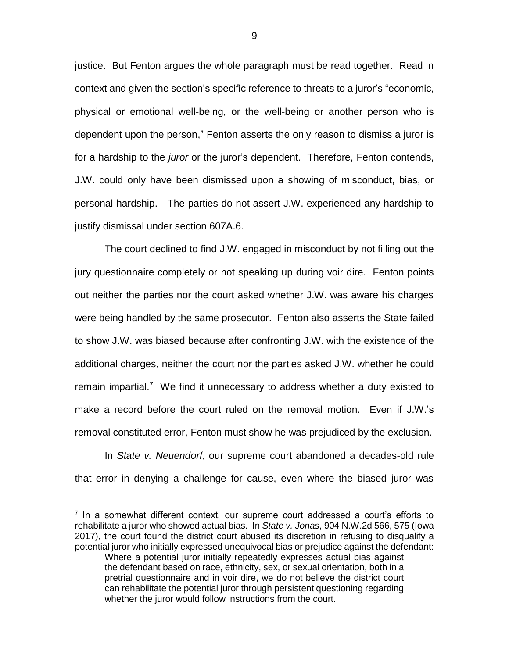justice. But Fenton argues the whole paragraph must be read together. Read in context and given the section's specific reference to threats to a juror's "economic, physical or emotional well-being, or the well-being or another person who is dependent upon the person," Fenton asserts the only reason to dismiss a juror is for a hardship to the *juror* or the juror's dependent. Therefore, Fenton contends, J.W. could only have been dismissed upon a showing of misconduct, bias, or personal hardship. The parties do not assert J.W. experienced any hardship to justify dismissal under section 607A.6.

The court declined to find J.W. engaged in misconduct by not filling out the jury questionnaire completely or not speaking up during voir dire. Fenton points out neither the parties nor the court asked whether J.W. was aware his charges were being handled by the same prosecutor. Fenton also asserts the State failed to show J.W. was biased because after confronting J.W. with the existence of the additional charges, neither the court nor the parties asked J.W. whether he could remain impartial.<sup>7</sup> We find it unnecessary to address whether a duty existed to make a record before the court ruled on the removal motion. Even if J.W.'s removal constituted error, Fenton must show he was prejudiced by the exclusion.

In *State v. Neuendorf*, our supreme court abandoned a decades-old rule that error in denying a challenge for cause, even where the biased juror was

 $\overline{a}$ 

 $7$  In a somewhat different context, our supreme court addressed a court's efforts to rehabilitate a juror who showed actual bias. In *State v. Jonas*, 904 N.W.2d 566, 575 (Iowa 2017), the court found the district court abused its discretion in refusing to disqualify a potential juror who initially expressed unequivocal bias or prejudice against the defendant: Where a potential juror initially repeatedly expresses actual bias against the defendant based on race, ethnicity, sex, or sexual orientation, both in a pretrial questionnaire and in voir dire, we do not believe the district court can rehabilitate the potential juror through persistent questioning regarding whether the juror would follow instructions from the court.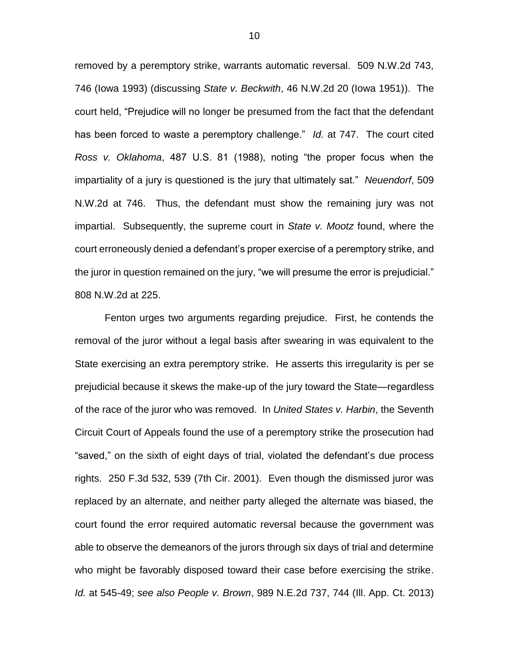removed by a peremptory strike, warrants automatic reversal. 509 N.W.2d 743, 746 (Iowa 1993) (discussing *State v. Beckwith*, 46 N.W.2d 20 (Iowa 1951)). The court held, "Prejudice will no longer be presumed from the fact that the defendant has been forced to waste a peremptory challenge." *Id.* at 747. The court cited *Ross v. Oklahoma*, 487 U.S. 81 (1988), noting "the proper focus when the impartiality of a jury is questioned is the jury that ultimately sat." *Neuendorf*, 509 N.W.2d at 746. Thus, the defendant must show the remaining jury was not impartial. Subsequently, the supreme court in *State v. Mootz* found, where the court erroneously denied a defendant's proper exercise of a peremptory strike, and the juror in question remained on the jury, "we will presume the error is prejudicial." 808 N.W.2d at 225.

Fenton urges two arguments regarding prejudice. First, he contends the removal of the juror without a legal basis after swearing in was equivalent to the State exercising an extra peremptory strike. He asserts this irregularity is per se prejudicial because it skews the make-up of the jury toward the State—regardless of the race of the juror who was removed. In *United States v. Harbin*, the Seventh Circuit Court of Appeals found the use of a peremptory strike the prosecution had "saved," on the sixth of eight days of trial, violated the defendant's due process rights. 250 F.3d 532, 539 (7th Cir. 2001). Even though the dismissed juror was replaced by an alternate, and neither party alleged the alternate was biased, the court found the error required automatic reversal because the government was able to observe the demeanors of the jurors through six days of trial and determine who might be favorably disposed toward their case before exercising the strike. *Id.* at 545-49; *see also People v. Brown*, 989 N.E.2d 737, 744 (Ill. App. Ct. 2013)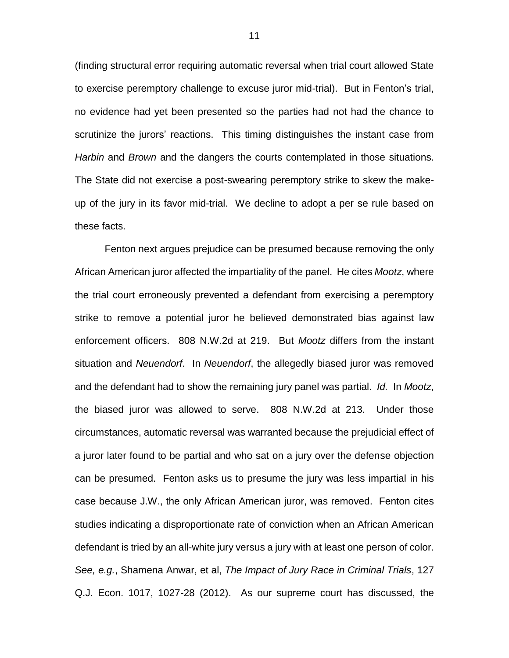(finding structural error requiring automatic reversal when trial court allowed State to exercise peremptory challenge to excuse juror mid-trial). But in Fenton's trial, no evidence had yet been presented so the parties had not had the chance to scrutinize the jurors' reactions. This timing distinguishes the instant case from *Harbin* and *Brown* and the dangers the courts contemplated in those situations. The State did not exercise a post-swearing peremptory strike to skew the makeup of the jury in its favor mid-trial. We decline to adopt a per se rule based on these facts.

Fenton next argues prejudice can be presumed because removing the only African American juror affected the impartiality of the panel. He cites *Mootz*, where the trial court erroneously prevented a defendant from exercising a peremptory strike to remove a potential juror he believed demonstrated bias against law enforcement officers. 808 N.W.2d at 219. But *Mootz* differs from the instant situation and *Neuendorf*. In *Neuendorf*, the allegedly biased juror was removed and the defendant had to show the remaining jury panel was partial. *Id.* In *Mootz*, the biased juror was allowed to serve. 808 N.W.2d at 213. Under those circumstances, automatic reversal was warranted because the prejudicial effect of a juror later found to be partial and who sat on a jury over the defense objection can be presumed. Fenton asks us to presume the jury was less impartial in his case because J.W., the only African American juror, was removed. Fenton cites studies indicating a disproportionate rate of conviction when an African American defendant is tried by an all-white jury versus a jury with at least one person of color. *See, e.g.*, Shamena Anwar, et al, *The Impact of Jury Race in Criminal Trials*, 127 Q.J. Econ. 1017, 1027-28 (2012). As our supreme court has discussed, the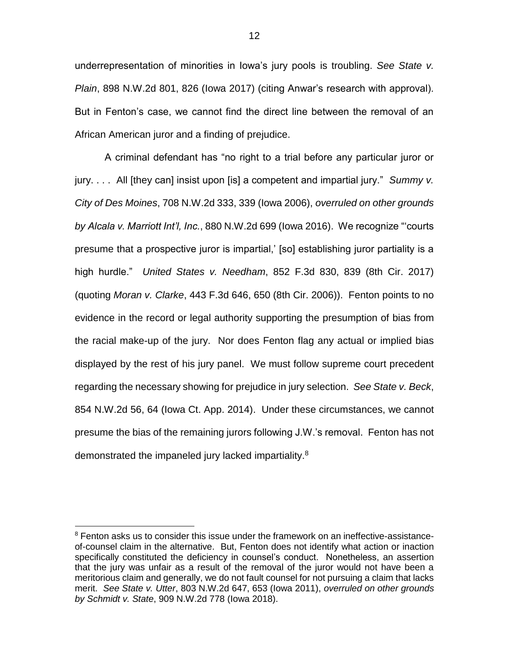underrepresentation of minorities in Iowa's jury pools is troubling. *See State v. Plain*, 898 N.W.2d 801, 826 (Iowa 2017) (citing Anwar's research with approval). But in Fenton's case, we cannot find the direct line between the removal of an African American juror and a finding of prejudice.

A criminal defendant has "no right to a trial before any particular juror or jury. . . . All [they can] insist upon [is] a competent and impartial jury." *Summy v. City of Des Moines*, 708 N.W.2d 333, 339 (Iowa 2006), *overruled on other grounds by Alcala v. Marriott Int'l, Inc.*, 880 N.W.2d 699 (Iowa 2016). We recognize "'courts presume that a prospective juror is impartial,' [so] establishing juror partiality is a high hurdle." *United States v. Needham*, 852 F.3d 830, 839 (8th Cir. 2017) (quoting *Moran v. Clarke*, 443 F.3d 646, 650 (8th Cir. 2006)). Fenton points to no evidence in the record or legal authority supporting the presumption of bias from the racial make-up of the jury. Nor does Fenton flag any actual or implied bias displayed by the rest of his jury panel. We must follow supreme court precedent regarding the necessary showing for prejudice in jury selection. *See State v. Beck*, 854 N.W.2d 56, 64 (Iowa Ct. App. 2014). Under these circumstances, we cannot presume the bias of the remaining jurors following J.W.'s removal. Fenton has not demonstrated the impaneled jury lacked impartiality.<sup>8</sup>

 $\overline{a}$ 

<sup>&</sup>lt;sup>8</sup> Fenton asks us to consider this issue under the framework on an ineffective-assistanceof-counsel claim in the alternative. But, Fenton does not identify what action or inaction specifically constituted the deficiency in counsel's conduct. Nonetheless, an assertion that the jury was unfair as a result of the removal of the juror would not have been a meritorious claim and generally, we do not fault counsel for not pursuing a claim that lacks merit. *See State v. Utter*, 803 N.W.2d 647, 653 (Iowa 2011), *overruled on other grounds by Schmidt v. State*, 909 N.W.2d 778 (Iowa 2018).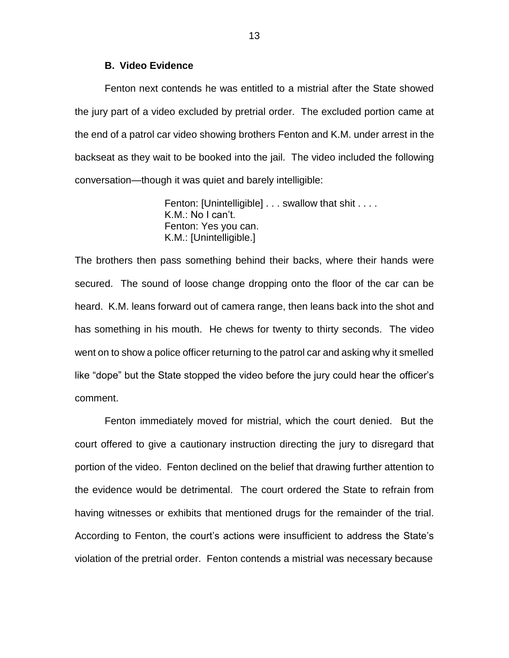### **B. Video Evidence**

Fenton next contends he was entitled to a mistrial after the State showed the jury part of a video excluded by pretrial order. The excluded portion came at the end of a patrol car video showing brothers Fenton and K.M. under arrest in the backseat as they wait to be booked into the jail. The video included the following conversation—though it was quiet and barely intelligible:

> Fenton: [Unintelligible] . . . swallow that shit . . . . K.M.: No I can't. Fenton: Yes you can. K.M.: [Unintelligible.]

The brothers then pass something behind their backs, where their hands were secured. The sound of loose change dropping onto the floor of the car can be heard. K.M. leans forward out of camera range, then leans back into the shot and has something in his mouth. He chews for twenty to thirty seconds. The video went on to show a police officer returning to the patrol car and asking why it smelled like "dope" but the State stopped the video before the jury could hear the officer's comment.

Fenton immediately moved for mistrial, which the court denied. But the court offered to give a cautionary instruction directing the jury to disregard that portion of the video. Fenton declined on the belief that drawing further attention to the evidence would be detrimental. The court ordered the State to refrain from having witnesses or exhibits that mentioned drugs for the remainder of the trial. According to Fenton, the court's actions were insufficient to address the State's violation of the pretrial order. Fenton contends a mistrial was necessary because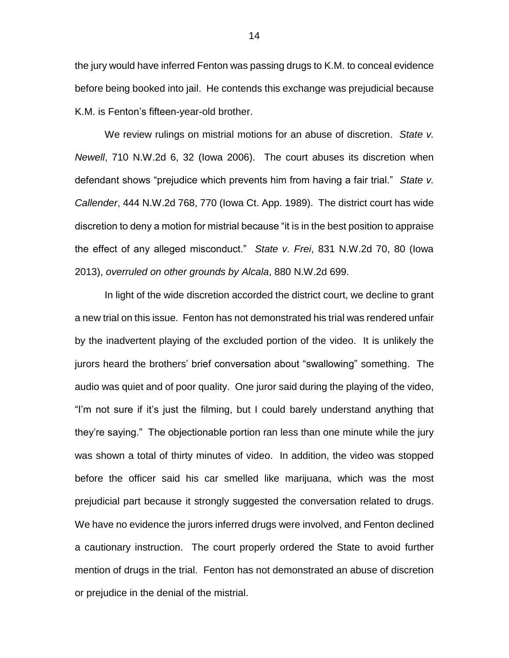the jury would have inferred Fenton was passing drugs to K.M. to conceal evidence before being booked into jail. He contends this exchange was prejudicial because K.M. is Fenton's fifteen-year-old brother.

We review rulings on mistrial motions for an abuse of discretion. *State v. Newell*, 710 N.W.2d 6, 32 (Iowa 2006). The court abuses its discretion when defendant shows "prejudice which prevents him from having a fair trial." *State v. Callender*, 444 N.W.2d 768, 770 (Iowa Ct. App. 1989). The district court has wide discretion to deny a motion for mistrial because "it is in the best position to appraise the effect of any alleged misconduct." *State v. Frei*, 831 N.W.2d 70, 80 (Iowa 2013), *overruled on other grounds by Alcala*, 880 N.W.2d 699.

In light of the wide discretion accorded the district court, we decline to grant a new trial on this issue. Fenton has not demonstrated his trial was rendered unfair by the inadvertent playing of the excluded portion of the video. It is unlikely the jurors heard the brothers' brief conversation about "swallowing" something. The audio was quiet and of poor quality. One juror said during the playing of the video, "I'm not sure if it's just the filming, but I could barely understand anything that they're saying." The objectionable portion ran less than one minute while the jury was shown a total of thirty minutes of video. In addition, the video was stopped before the officer said his car smelled like marijuana, which was the most prejudicial part because it strongly suggested the conversation related to drugs. We have no evidence the jurors inferred drugs were involved, and Fenton declined a cautionary instruction. The court properly ordered the State to avoid further mention of drugs in the trial. Fenton has not demonstrated an abuse of discretion or prejudice in the denial of the mistrial.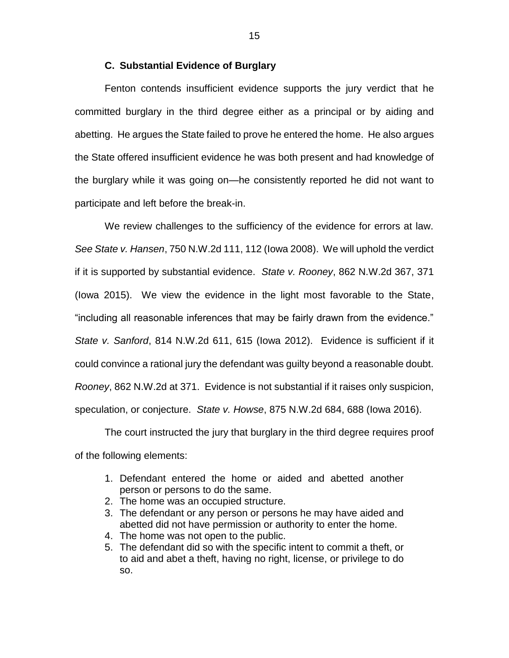## **C. Substantial Evidence of Burglary**

Fenton contends insufficient evidence supports the jury verdict that he committed burglary in the third degree either as a principal or by aiding and abetting. He argues the State failed to prove he entered the home. He also argues the State offered insufficient evidence he was both present and had knowledge of the burglary while it was going on—he consistently reported he did not want to participate and left before the break-in.

We review challenges to the sufficiency of the evidence for errors at law. *See State v. Hansen*, 750 N.W.2d 111, 112 (Iowa 2008). We will uphold the verdict if it is supported by substantial evidence. *State v. Rooney*, 862 N.W.2d 367, 371 (Iowa 2015). We view the evidence in the light most favorable to the State, "including all reasonable inferences that may be fairly drawn from the evidence." *State v. Sanford*, 814 N.W.2d 611, 615 (Iowa 2012). Evidence is sufficient if it could convince a rational jury the defendant was guilty beyond a reasonable doubt. *Rooney*, 862 N.W.2d at 371. Evidence is not substantial if it raises only suspicion, speculation, or conjecture. *State v. Howse*, 875 N.W.2d 684, 688 (Iowa 2016).

The court instructed the jury that burglary in the third degree requires proof of the following elements:

- 1. Defendant entered the home or aided and abetted another person or persons to do the same.
- 2. The home was an occupied structure.
- 3. The defendant or any person or persons he may have aided and abetted did not have permission or authority to enter the home.
- 4. The home was not open to the public.
- 5. The defendant did so with the specific intent to commit a theft, or to aid and abet a theft, having no right, license, or privilege to do so.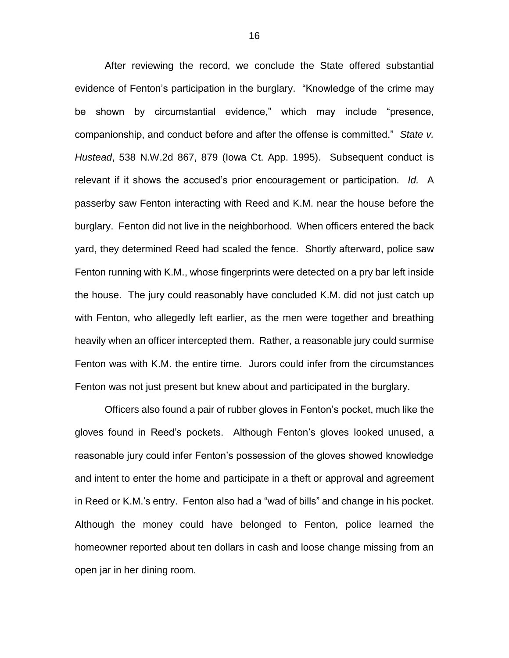After reviewing the record, we conclude the State offered substantial evidence of Fenton's participation in the burglary. "Knowledge of the crime may be shown by circumstantial evidence," which may include "presence, companionship, and conduct before and after the offense is committed." *State v. Hustead*, 538 N.W.2d 867, 879 (Iowa Ct. App. 1995). Subsequent conduct is relevant if it shows the accused's prior encouragement or participation. *Id.* A passerby saw Fenton interacting with Reed and K.M. near the house before the burglary. Fenton did not live in the neighborhood. When officers entered the back yard, they determined Reed had scaled the fence. Shortly afterward, police saw Fenton running with K.M., whose fingerprints were detected on a pry bar left inside the house. The jury could reasonably have concluded K.M. did not just catch up with Fenton, who allegedly left earlier, as the men were together and breathing heavily when an officer intercepted them. Rather, a reasonable jury could surmise Fenton was with K.M. the entire time. Jurors could infer from the circumstances Fenton was not just present but knew about and participated in the burglary.

Officers also found a pair of rubber gloves in Fenton's pocket, much like the gloves found in Reed's pockets. Although Fenton's gloves looked unused, a reasonable jury could infer Fenton's possession of the gloves showed knowledge and intent to enter the home and participate in a theft or approval and agreement in Reed or K.M.'s entry. Fenton also had a "wad of bills" and change in his pocket. Although the money could have belonged to Fenton, police learned the homeowner reported about ten dollars in cash and loose change missing from an open jar in her dining room.